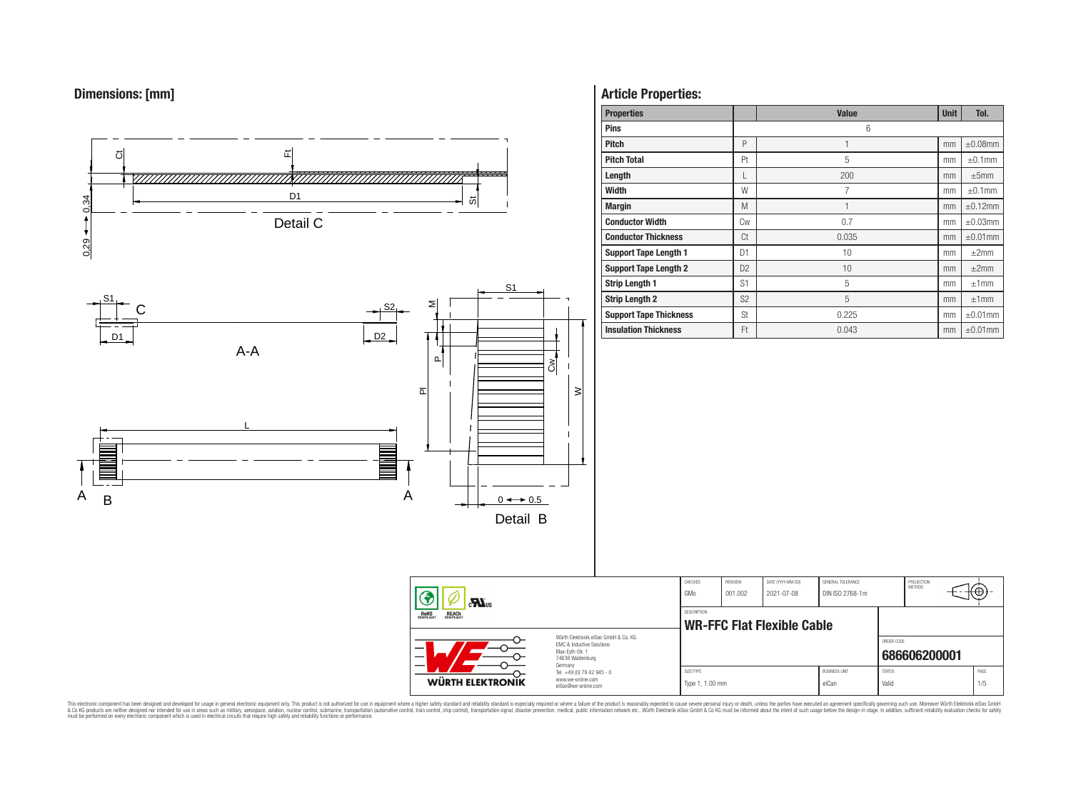# **Dimensions: [mm]**



## **Article Properties:**

| <b>Properties</b>             |                | <b>Value</b> | <b>Unit</b> | Tol.          |
|-------------------------------|----------------|--------------|-------------|---------------|
| <b>Pins</b>                   |                | 6            |             |               |
| <b>Pitch</b>                  | P              |              | mm          | $\pm 0.08$ mm |
| <b>Pitch Total</b>            | Pt             | 5            | mm          | $\pm 0.1$ mm  |
| Length                        | L              | 200          | mm          | ±5mm          |
| <b>Width</b>                  | W              | 7            | mm          | $\pm 0.1$ mm  |
| <b>Margin</b>                 | M              | 1            | mm          | $\pm 0.12$ mm |
| <b>Conductor Width</b>        | Cw             | 0.7          | mm          | $\pm 0.03$ mm |
| <b>Conductor Thickness</b>    | Ct             | 0.035        | mm          | $\pm 0.01$ mm |
| <b>Support Tape Length 1</b>  | D <sub>1</sub> | 10           | mm          | $\pm 2$ mm    |
| <b>Support Tape Length 2</b>  | D <sub>2</sub> | 10           | mm          | $\pm 2$ mm    |
| <b>Strip Length 1</b>         | S <sub>1</sub> | 5            | mm          | ±1mm          |
| <b>Strip Length 2</b>         | S <sub>2</sub> | 5            | mm          | ±1mm          |
| <b>Support Tape Thickness</b> | St             | 0.225        | mm          | $\pm 0.01$ mm |
| <b>Insulation Thickness</b>   | Ft             | 0.043        | mm          | $\pm 0.01$ mm |

PROJECTION<br>METHOD

(⊕

**[686606200001](https://www.we-online.com/catalog/en/article/686606200001)**

ORDER CODE

This electronic component has been designed and developed for usage in general electronic equipment only. This product is not authorized for subserved requipment where a higher selection equipment where a higher selection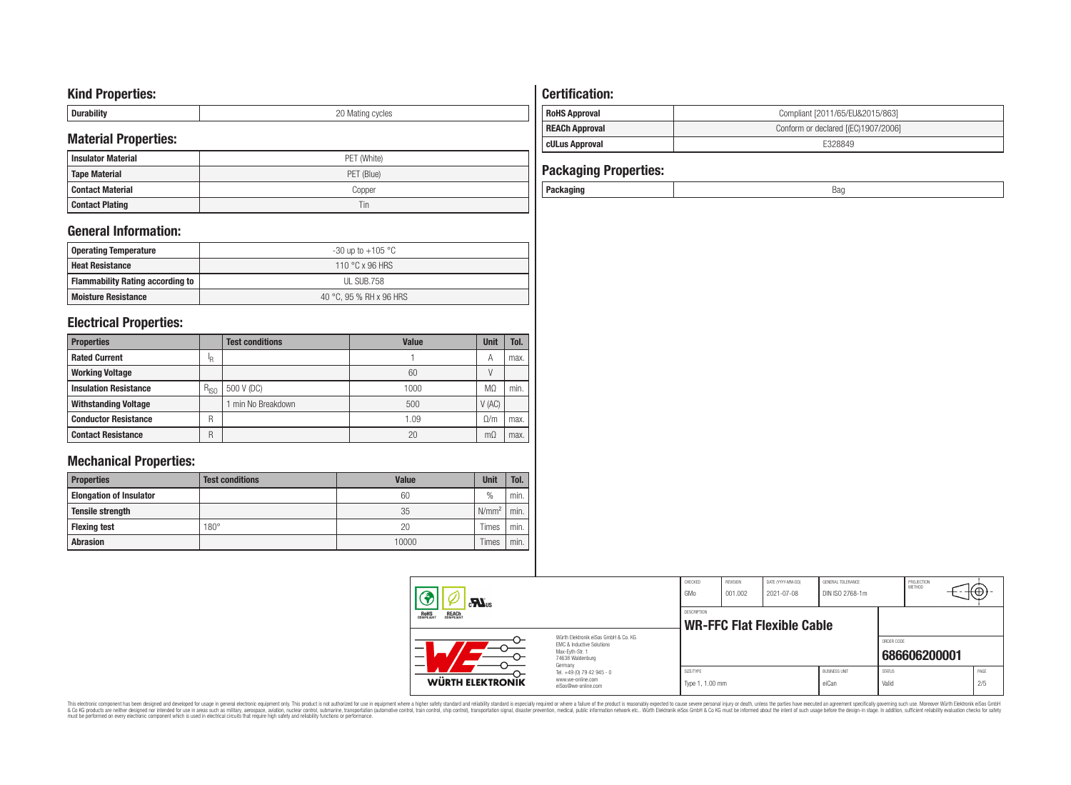## **Kind Properties:**

| <b>Duruping</b> | ററ<br>20 Mating cycles |
|-----------------|------------------------|

# **Material Properties:**

| IVIALEITAI PTODEITIES. |             | <b>cULus Approval</b>        | E328849 |
|------------------------|-------------|------------------------------|---------|
| l Insulator Material   | PET (White) |                              |         |
| Tape Material          | PET (Blue)  | <b>Packaging Properties:</b> |         |
| l Contact Material     | Copper      | Packaging                    | Bag     |
| <b>Contact Plating</b> | 1 in        |                              |         |

# **General Information:**

| Operating Temperature                   | -30 up to +105 $^{\circ}$ C |
|-----------------------------------------|-----------------------------|
| <b>Heat Resistance</b>                  | 110 °C x 96 HRS             |
| <b>Flammability Rating according to</b> | UL SUB.758                  |
| <b>Moisture Resistance</b>              | 40 °C, 95 % RH x 96 HRS     |

# **Electrical Properties:**

| <b>Properties</b>            |           | <b>Test conditions</b> | <b>Value</b> | Unit      | Tol. |
|------------------------------|-----------|------------------------|--------------|-----------|------|
| <b>Rated Current</b>         | ΙR        |                        |              | A         | max. |
| <b>Working Voltage</b>       |           |                        | 60           |           |      |
| <b>Insulation Resistance</b> | $R_{ISO}$ | 500 V (DC)             | 1000         | MΩ        | min. |
| <b>Withstanding Voltage</b>  |           | min No Breakdown       | 500          | V(AC)     |      |
| <b>Conductor Resistance</b>  | R         |                        | 1.09         | 0/m       | max. |
| <b>Contact Resistance</b>    | R         |                        | 20           | $m\Omega$ | max. |

# **Mechanical Properties:**

| <b>Properties</b>              | <b>Test conditions</b> | <b>Value</b> | <b>Unit</b>       | Tol.   |
|--------------------------------|------------------------|--------------|-------------------|--------|
| <b>Elongation of Insulator</b> |                        | 60           | $\frac{0}{0}$     | min.   |
| <b>Tensile strength</b>        |                        | 35           | N/mm <sup>2</sup> | min.   |
| <b>Flexing test</b>            | $180^\circ$            | 20           | Times             | ` min. |
| <b>Abrasion</b>                |                        | 10000        | Times             | min.   |

# **Certification: RoHS Approval RoHS Approval Compliant** [2011/65/EU&2015/863] **REACh Approval REACh Approval Conform or declared [(EC)1907/2006]**

| $\sum_{s}$                                     |                                                                                                                                | CHECKED<br>GMo               | REVISION<br>001.002 | DATE (YYYY-MM-DD)<br>2021-07-08 | GENERAL TOLERANCE<br>DIN ISO 2768-1m |                        | PROJECTION<br><b>METHOD</b> | ℡           |  |
|------------------------------------------------|--------------------------------------------------------------------------------------------------------------------------------|------------------------------|---------------------|---------------------------------|--------------------------------------|------------------------|-----------------------------|-------------|--|
| ROHS<br>COMPLIANT<br><b>REACH</b><br>COMPLIANT |                                                                                                                                | DESCRIPTION                  |                     | WR-FFC Flat Flexible Cable      |                                      |                        |                             |             |  |
| _                                              | Würth Elektronik eiSos GmbH & Co. KG<br><b>EMC &amp; Inductive Solutions</b><br>Max-Evth-Str. 1<br>74638 Waldenburg<br>Germany |                              |                     |                                 |                                      | ORDER CODE             | 686606200001                |             |  |
| WÜRTH ELEKTRONIK                               | Tel. +49 (0) 79 42 945 - 0<br>www.we-online.com<br>eiSos@we-online.com                                                         | SIZE/TYPE<br>Type 1, 1.00 mm |                     |                                 | <b>BUSINESS UNIT</b><br>eiCan        | <b>STATUS</b><br>Valid |                             | PAGE<br>2/5 |  |

This electronic component has been designed and developed for usage in general electronic equipment only. This product is not authorized for subserved requipment where a higher selection equipment where a higher selection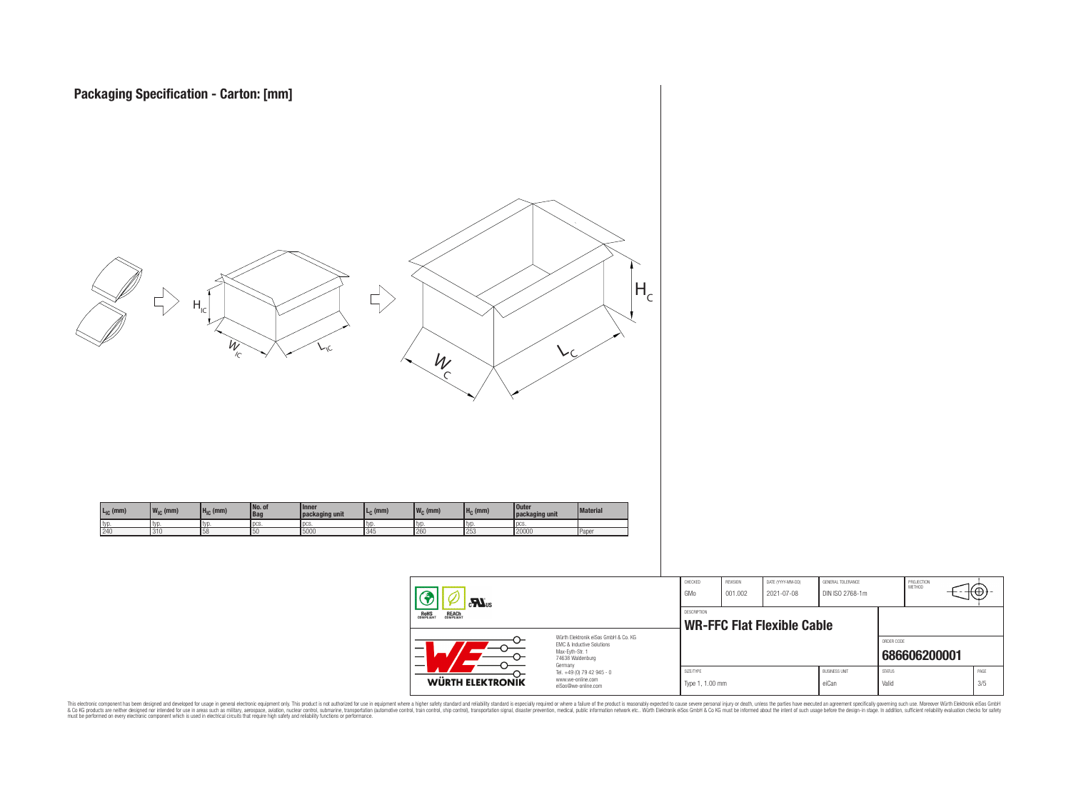



This electronic component has been designed and developed for usage in general electronic equipment only. This product is not authorized for subserved requipment where a higher selection equipment where a higher selection

**WÜRTH ELEKTRONIK** 

www.we-online.com eiSos@we-online.com PROJECTION<br>METHOD

łΘ

**[686606200001](https://www.we-online.com/catalog/en/article/686606200001)**

ORDER CODE

SIZE/TYPE BUSINESS UNIT STATUS PAGE Type 1, 1.00 mm eiCan value of the Valid 3/5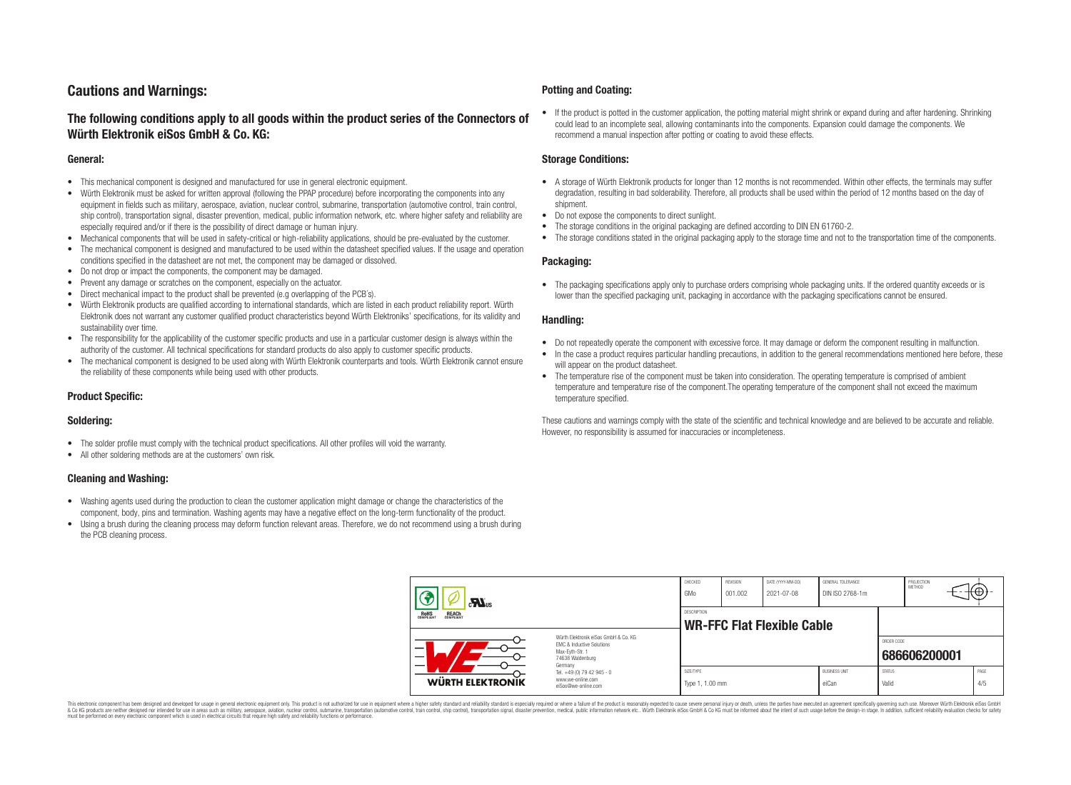# **Cautions and Warnings:**

## **The following conditions apply to all goods within the product series of the Connectors of Würth Elektronik eiSos GmbH & Co. KG:**

#### **General:**

- This mechanical component is designed and manufactured for use in general electronic equipment.
- Würth Elektronik must be asked for written approval (following the PPAP procedure) before incorporating the components into any equipment in fields such as military, aerospace, aviation, nuclear control, submarine, transportation (automotive control, train control, ship control), transportation signal, disaster prevention, medical, public information network, etc. where higher safety and reliability are especially required and/or if there is the possibility of direct damage or human injury.
- Mechanical components that will be used in safety-critical or high-reliability applications, should be pre-evaluated by the customer.
- The mechanical component is designed and manufactured to be used within the datasheet specified values. If the usage and operation conditions specified in the datasheet are not met, the component may be damaged or dissolved.
- Do not drop or impact the components, the component may be damaged.
- Prevent any damage or scratches on the component, especially on the actuator.
- Direct mechanical impact to the product shall be prevented (e.g overlapping of the PCB's).
- Würth Elektronik products are qualified according to international standards, which are listed in each product reliability report. Würth Elektronik does not warrant any customer qualified product characteristics beyond Würth Elektroniks' specifications, for its validity and sustainability over time.
- The responsibility for the applicability of the customer specific products and use in a particular customer design is always within the authority of the customer. All technical specifications for standard products do also apply to customer specific products.
- The mechanical component is designed to be used along with Würth Elektronik counterparts and tools. Würth Elektronik cannot ensure the reliability of these components while being used with other products.

## **Product Specific:**

### **Soldering:**

- The solder profile must comply with the technical product specifications. All other profiles will void the warranty.
- All other soldering methods are at the customers' own risk.

### **Cleaning and Washing:**

- Washing agents used during the production to clean the customer application might damage or change the characteristics of the component, body, pins and termination. Washing agents may have a negative effect on the long-term functionality of the product.
- Using a brush during the cleaning process may deform function relevant areas. Therefore, we do not recommend using a brush during the PCB cleaning process.

#### **Potting and Coating:**

• If the product is potted in the customer application, the potting material might shrink or expand during and after hardening. Shrinking could lead to an incomplete seal, allowing contaminants into the components. Expansion could damage the components. We recommend a manual inspection after potting or coating to avoid these effects.

#### **Storage Conditions:**

- A storage of Würth Elektronik products for longer than 12 months is not recommended. Within other effects, the terminals may suffer degradation, resulting in bad solderability. Therefore, all products shall be used within the period of 12 months based on the day of shipment.
- Do not expose the components to direct sunlight.
- The storage conditions in the original packaging are defined according to DIN EN 61760-2.
- The storage conditions stated in the original packaging apply to the storage time and not to the transportation time of the components.

### **Packaging:**

• The packaging specifications apply only to purchase orders comprising whole packaging units. If the ordered quantity exceeds or is lower than the specified packaging unit, packaging in accordance with the packaging specifications cannot be ensured.

#### **Handling:**

- Do not repeatedly operate the component with excessive force. It may damage or deform the component resulting in malfunction.
- In the case a product requires particular handling precautions, in addition to the general recommendations mentioned here before, these will appear on the product datasheet
- The temperature rise of the component must be taken into consideration. The operating temperature is comprised of ambient temperature and temperature rise of the component.The operating temperature of the component shall not exceed the maximum temperature specified.

These cautions and warnings comply with the state of the scientific and technical knowledge and are believed to be accurate and reliable. However, no responsibility is assumed for inaccuracies or incompleteness.

| $\sum_{s}$                                                                                                                    |                                                                        | CHECKED<br>GMo               | REVISION<br>001.002 | DATE (YYYY-MM-DD)<br>2021-07-08   | GENERAL TOLERANCE<br>DIN ISO 2768-1m |                        | PROJECTION<br>METHOD | ι₩          |
|-------------------------------------------------------------------------------------------------------------------------------|------------------------------------------------------------------------|------------------------------|---------------------|-----------------------------------|--------------------------------------|------------------------|----------------------|-------------|
| <b>ROHS</b><br>COMPLIANT<br><b>REACH</b><br>COMPLIANT                                                                         |                                                                        | DESCRIPTION                  |                     | <b>WR-FFC Flat Flexible Cable</b> |                                      |                        |                      |             |
| Würth Elektronik eiSos GmbH & Co. KG<br>EMC & Inductive Solutions<br>-<br>Max-Eyth-Str. 1<br>—<br>74638 Waldenburg<br>Germany |                                                                        |                              |                     |                                   |                                      | ORDER CODE             | 686606200001         |             |
| WÜRTH ELEKTRONIK                                                                                                              | Tel. +49 (0) 79 42 945 - 0<br>www.we-online.com<br>eiSos@we-online.com | SIZE/TYPE<br>Type 1, 1.00 mm |                     |                                   | <b>BUSINESS UNIT</b><br>eiCan        | <b>STATUS</b><br>Valid |                      | PAGE<br>4/5 |

This electronic component has been designed and developed for usage in general electronic equipment only. This product is not authorized for use in equipment where a higher safety standard and reliability standard si espec & Ook product a label and the membed of the seasuch as marked and as which such a membed and the such assume that income in the seasuch and the simulation and the such assume that include to the such a membed and the such